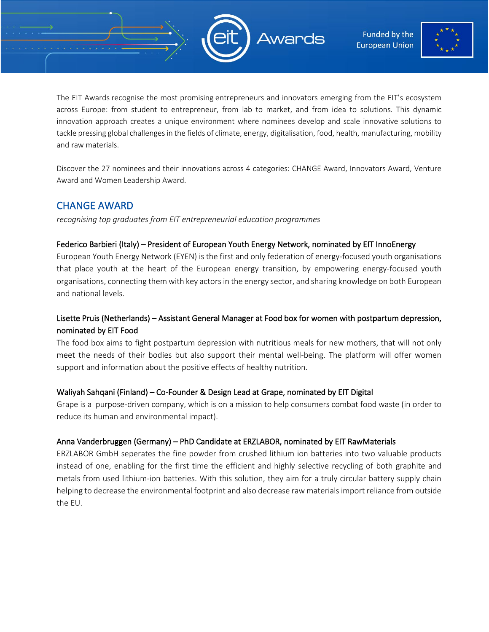



The EIT Awards recognise the most promising entrepreneurs and innovators emerging from the EIT's ecosystem across Europe: from student to entrepreneur, from lab to market, and from idea to solutions. This dynamic innovation approach creates a unique environment where nominees develop and scale innovative solutions to tackle pressing global challenges in the fields of climate, energy, digitalisation, food, health, manufacturing, mobility and raw materials.

Discover the 27 nominees and their innovations across 4 categories: CHANGE Award, Innovators Award, Venture Award and Women Leadership Award.

## CHANGE AWARD

*recognising top graduates from EIT entrepreneurial education programmes*

#### Federico Barbieri (Italy) – President of European Youth Energy Network, nominated by EIT InnoEnergy

European Youth Energy Network (EYEN) is the first and only federation of energy-focused youth organisations that place youth at the heart of the European energy transition, by empowering energy-focused youth organisations, connecting them with key actors in the energy sector, and sharing knowledge on both European and national levels.

## Lisette Pruis (Netherlands) – Assistant General Manager at Food box for women with postpartum depression, nominated by EIT Food

The food box aims to fight postpartum depression with nutritious meals for new mothers, that will not only meet the needs of their bodies but also support their mental well-being. The platform will offer women support and information about the positive effects of healthy nutrition.

#### Waliyah Sahqani (Finland) – Co-Founder & Design Lead at Grape, nominated by EIT Digital

Grape is a purpose-driven company, which is on a mission to help consumers combat food waste (in order to reduce its human and environmental impact).

## Anna Vanderbruggen (Germany) – PhD Candidate at ERZLABOR, nominated by EIT RawMaterials

ERZLABOR GmbH seperates the fine powder from crushed lithium ion batteries into two valuable products instead of one, enabling for the first time the efficient and highly selective recycling of both graphite and metals from used lithium-ion batteries. With this solution, they aim for a truly circular battery supply chain helping to decrease the environmental footprint and also decrease raw materials import reliance from outside the EU.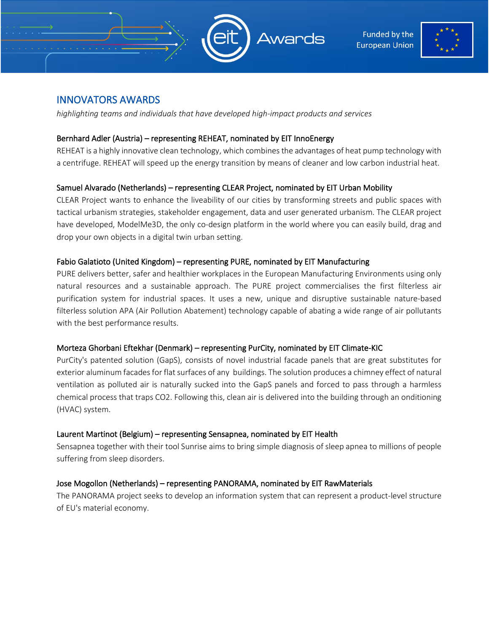



# INNOVATORS AWARDS

*highlighting teams and individuals that have developed high-impact products and services*

#### Bernhard Adler (Austria) – representing REHEAT, nominated by EIT InnoEnergy

REHEAT is a highly innovative clean technology, which combines the advantages of heat pump technology with a centrifuge. REHEAT will speed up the energy transition by means of cleaner and low carbon industrial heat.

## Samuel Alvarado (Netherlands) – representing CLEAR Project, nominated by EIT Urban Mobility

CLEAR Project wants to enhance the liveability of our cities by transforming streets and public spaces with tactical urbanism strategies, stakeholder engagement, data and user generated urbanism. The CLEAR project have developed, ModelMe3D, the only co-design platform in the world where you can easily build, drag and drop your own objects in a digital twin urban setting.

#### Fabio Galatioto (United Kingdom) – representing PURE, nominated by EIT Manufacturing

PURE delivers better, safer and healthier workplaces in the European Manufacturing Environments using only natural resources and a sustainable approach. The PURE project commercialises the first filterless air purification system for industrial spaces. It uses a new, unique and disruptive sustainable nature-based filterless solution APA (Air Pollution Abatement) technology capable of abating a wide range of air pollutants with the best performance results.

#### Morteza Ghorbani Eftekhar (Denmark) – representing PurCity, nominated by EIT Climate-KIC

PurCity's patented solution (GapS), consists of novel industrial facade panels that are great substitutes for exterior aluminum facades for flat surfaces of any buildings. The solution produces a chimney effect of natural ventilation as polluted air is naturally sucked into the GapS panels and forced to pass through a harmless chemical process that traps CO2. Following this, clean air is delivered into the building through an onditioning (HVAC) system.

#### Laurent Martinot (Belgium) – representing Sensapnea, nominated by EIT Health

Sensapnea together with their tool Sunrise aims to bring simple diagnosis of sleep apnea to millions of people suffering from sleep disorders.

#### Jose Mogollon (Netherlands) – representing PANORAMA, nominated by EIT RawMaterials

The PANORAMA project seeks to develop an information system that can represent a product-level structure of EU's material economy.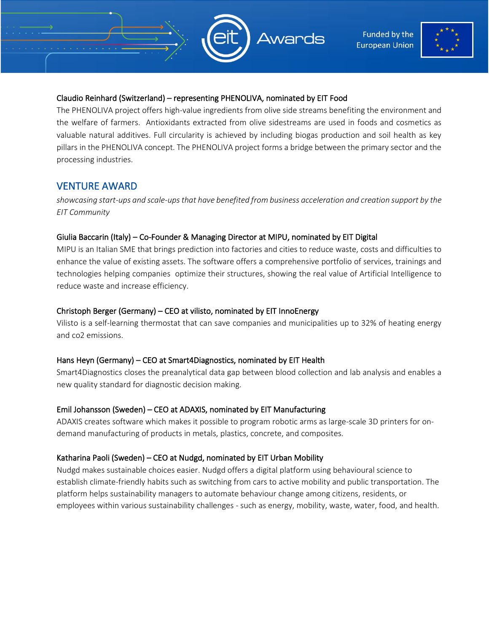



#### Claudio Reinhard (Switzerland) – representing PHENOLIVA, nominated by EIT Food

The PHENOLIVA project offers high-value ingredients from olive side streams benefiting the environment and the welfare of farmers. Antioxidants extracted from olive sidestreams are used in foods and cosmetics as valuable natural additives. Full circularity is achieved by including biogas production and soil health as key pillars in the PHENOLIVA concept. The PHENOLIVA project forms a bridge between the primary sector and the processing industries.

# VENTURE AWARD

*showcasing start-ups and scale-ups that have benefited from business acceleration and creation support by the EIT Community*

#### Giulia Baccarin (Italy) – Co-Founder & Managing Director at MIPU, nominated by EIT Digital

MIPU is an Italian SME that brings prediction into factories and cities to reduce waste, costs and difficulties to enhance the value of existing assets. The software offers a comprehensive portfolio of services, trainings and technologies helping companies optimize their structures, showing the real value of Artificial Intelligence to reduce waste and increase efficiency.

#### Christoph Berger (Germany) – CEO at vilisto, nominated by EIT InnoEnergy

Vilisto is a self-learning thermostat that can save companies and municipalities up to 32% of heating energy and co2 emissions.

## Hans Heyn (Germany) – CEO at Smart4Diagnostics, nominated by EIT Health

Smart4Diagnostics closes the preanalytical data gap between blood collection and lab analysis and enables a new quality standard for diagnostic decision making.

#### Emil Johansson (Sweden) – CEO at ADAXIS, nominated by EIT Manufacturing

ADAXIS creates software which makes it possible to program robotic arms as large-scale 3D printers for ondemand manufacturing of products in metals, plastics, concrete, and composites.

## Katharina Paoli (Sweden) – CEO at Nudgd, nominated by EIT Urban Mobility

Nudgd makes sustainable choices easier. Nudgd offers a digital platform using behavioural science to establish climate-friendly habits such as switching from cars to active mobility and public transportation. The platform helps sustainability managers to automate behaviour change among citizens, residents, or employees within various sustainability challenges - such as energy, mobility, waste, water, food, and health.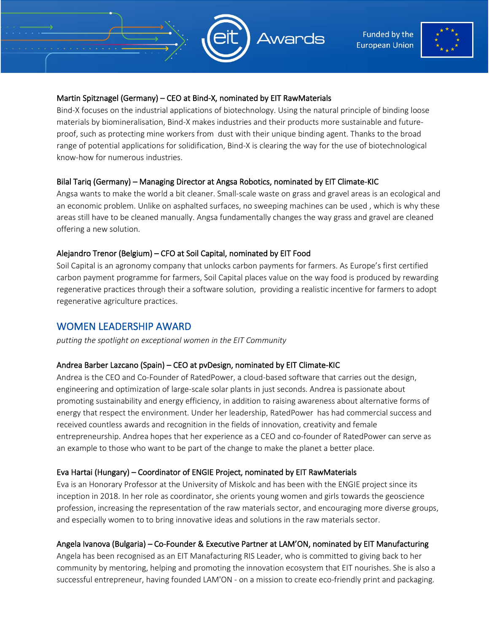

**Funded by the European Union** 



### Martin Spitznagel (Germany) – CEO at Bind-X, nominated by EIT RawMaterials

Bind-X focuses on the industrial applications of biotechnology. Using the natural principle of binding loose materials by biomineralisation, Bind-X makes industries and their products more sustainable and futureproof, such as protecting mine workers from dust with their unique binding agent. Thanks to the broad range of potential applications for solidification, Bind-X is clearing the way for the use of biotechnological know-how for numerous industries.

## Bilal Tariq (Germany) – Managing Director at Angsa Robotics, nominated by EIT Climate-KIC

Angsa wants to make the world a bit cleaner. Small-scale waste on grass and gravel areas is an ecological and an economic problem. Unlike on asphalted surfaces, no sweeping machines can be used , which is why these areas still have to be cleaned manually. Angsa fundamentally changes the way grass and gravel are cleaned offering a new solution.

## Alejandro Trenor (Belgium) – CFO at Soil Capital, nominated by EIT Food

Soil Capital is an agronomy company that unlocks carbon payments for farmers. As Europe's first certified carbon payment programme for farmers, Soil Capital places value on the way food is produced by rewarding regenerative practices through their a software solution, providing a realistic incentive for farmers to adopt regenerative agriculture practices.

# WOMEN LEADERSHIP AWARD

*putting the spotlight on exceptional women in the EIT Community*

## Andrea Barber Lazcano (Spain) – CEO at pvDesign, nominated by EIT Climate-KIC

Andrea is the CEO and Co-Founder of RatedPower, a cloud-based software that carries out the design, engineering and optimization of large-scale solar plants in just seconds. Andrea is passionate about promoting sustainability and energy efficiency, in addition to raising awareness about alternative forms of energy that respect the environment. Under her leadership, RatedPower has had commercial success and received countless awards and recognition in the fields of innovation, creativity and female entrepreneurship. Andrea hopes that her experience as a CEO and co-founder of RatedPower can serve as an example to those who want to be part of the change to make the planet a better place.

## Eva Hartai (Hungary) – Coordinator of ENGIE Project, nominated by EIT RawMaterials

Eva is an Honorary Professor at the University of Miskolc and has been with the ENGIE project since its inception in 2018. In her role as coordinator, she orients young women and girls towards the geoscience profession, increasing the representation of the raw materials sector, and encouraging more diverse groups, and especially women to to bring innovative ideas and solutions in the raw materials sector.

## Angela Ivanova (Bulgaria) – Co-Founder & Executive Partner at LAM'ON, nominated by EIT Manufacturing

Angela has been recognised as an EIT Manafacturing RIS Leader, who is committed to giving back to her community by mentoring, helping and promoting the innovation ecosystem that EIT nourishes. She is also a successful entrepreneur, having founded LAM'ON - on a mission to create eco-friendly print and packaging.